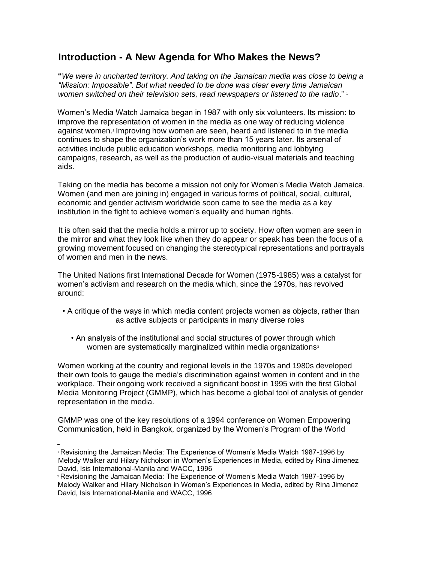# **Introduction - A New Agenda for Who Makes the News?**

**"***We were in uncharted territory. And taking on the Jamaican media was close to being a "Mission: Impossible". But what needed to be done was clear every time Jamaican women switched on their television sets, read newspapers or listened to the radio*." <sup>1</sup>

Women's Media Watch Jamaica began in 1987 with only six volunteers. Its mission: to improve the representation of women in the media as one way of reducing violence against women.<sup>2</sup> Improving how women are seen, heard and listened to in the media continues to shape the organization's work more than 15 years later. Its arsenal of activities include public education workshops, media monitoring and lobbying campaigns, research, as well as the production of audio-visual materials and teaching aids.

Taking on the media has become a mission not only for Women's Media Watch Jamaica. Women (and men are joining in) engaged in various forms of political, social, cultural, economic and gender activism worldwide soon came to see the media as a key institution in the fight to achieve women's equality and human rights.

It is often said that the media holds a mirror up to society. How often women are seen in the mirror and what they look like when they do appear or speak has been the focus of a growing movement focused on changing the stereotypical representations and portrayals of women and men in the news.

The United Nations first International Decade for Women (1975-1985) was a catalyst for women's activism and research on the media which, since the 1970s, has revolved around:

- A critique of the ways in which media content projects women as objects, rather than as active subjects or participants in many diverse roles
	- An analysis of the institutional and social structures of power through which women are systematically marginalized within media organizations<sup>3</sup>

Women working at the country and regional levels in the 1970s and 1980s developed their own tools to gauge the media's discrimination against women in content and in the workplace. Their ongoing work received a significant boost in 1995 with the first Global Media Monitoring Project (GMMP), which has become a global tool of analysis of gender representation in the media.

GMMP was one of the key resolutions of a 1994 conference on Women Empowering Communication, held in Bangkok, organized by the Women's Program of the World

<sup>1</sup>Revisioning the Jamaican Media: The Experience of Women's Media Watch 1987-1996 by Melody Walker and Hilary Nicholson in Women's Experiences in Media, edited by Rina Jimenez David, Isis International-Manila and WACC, 1996

<sup>2</sup> Revisioning the Jamaican Media: The Experience of Women's Media Watch 1987-1996 by Melody Walker and Hilary Nicholson in Women's Experiences in Media, edited by Rina Jimenez David, Isis International-Manila and WACC, 1996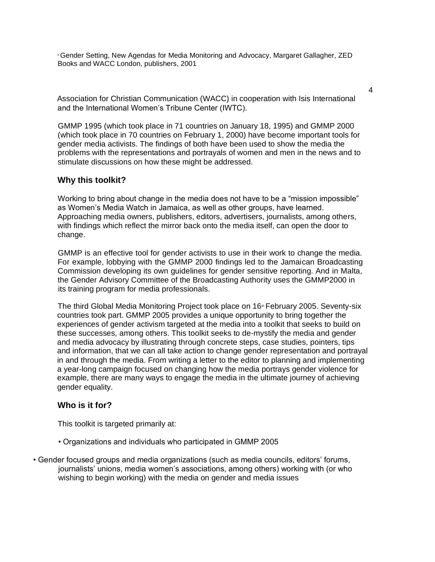<sup>3</sup> Gender Setting, New Agendas for Media Monitoring and Advocacy, Margaret Gallagher, ZED Books and WACC London, publishers, 2001

Association for Christian Communication (WACC) in cooperation with Isis International and the International Women's Tribune Center (IWTC).

GMMP 1995 (which took place in 71 countries on January 18, 1995) and GMMP 2000 (which took place in 70 countries on February 1, 2000) have become important tools for gender media activists. The findings of both have been used to show the media the problems with the representations and portrayals of women and men in the news and to stimulate discussions on how these might be addressed.

### **Why this toolkit?**

Working to bring about change in the media does not have to be a "mission impossible" as Women's Media Watch in Jamaica, as well as other groups, have learned. Approaching media owners, publishers, editors, advertisers, journalists, among others, with findings which reflect the mirror back onto the media itself, can open the door to change.

GMMP is an effective tool for gender activists to use in their work to change the media. For example, lobbying with the GMMP 2000 findings led to the Jamaican Broadcasting Commission developing its own guidelines for gender sensitive reporting. And in Malta, the Gender Advisory Committee of the Broadcasting Authority uses the GMMP2000 in its training program for media professionals.

The third Global Media Monitoring Project took place on 16<sup>th</sup> February 2005. Seventy-six countries took part. GMMP 2005 provides a unique opportunity to bring together the experiences of gender activism targeted at the media into a toolkit that seeks to build on these successes, among others. This toolkit seeks to de-mystify the media and gender and media advocacy by illustrating through concrete steps, case studies, pointers, tips and information, that we can all take action to change gender representation and portrayal in and through the media. From writing a letter to the editor to planning and implementing a year-long campaign focused on changing how the media portrays gender violence for example, there are many ways to engage the media in the ultimate journey of achieving gender equality.

### **Who is it for?**

This toolkit is targeted primarily at:

- Organizations and individuals who participated in GMMP 2005
- Gender focused groups and media organizations (such as media councils, editors' forums, journalists' unions, media women's associations, among others) working with (or who wishing to begin working) with the media on gender and media issues

4